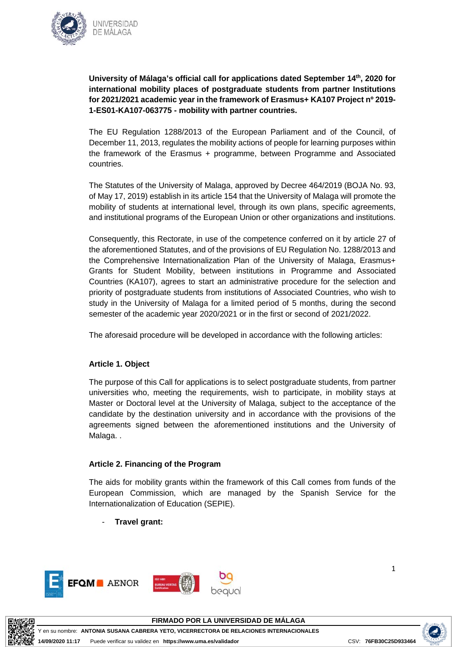

**University of Málaga's official call for applications dated September 14th, 2020 for international mobility places of postgraduate students from partner Institutions for 2021/2021 academic year in the framework of Erasmus+ KA107 Project nº 2019- 1-ES01-KA107-063775 - mobility with partner countries.**

The EU Regulation 1288/2013 of the European Parliament and of the Council, of December 11, 2013, regulates the mobility actions of people for learning purposes within the framework of the Erasmus + programme, between Programme and Associated countries.

The Statutes of the University of Malaga, approved by Decree 464/2019 (BOJA No. 93, of May 17, 2019) establish in its article 154 that the University of Malaga will promote the mobility of students at international level, through its own plans, specific agreements, and institutional programs of the European Union or other organizations and institutions.

Consequently, this Rectorate, in use of the competence conferred on it by article 27 of the aforementioned Statutes, and of the provisions of EU Regulation No. 1288/2013 and the Comprehensive Internationalization Plan of the University of Malaga, Erasmus+ Grants for Student Mobility, between institutions in Programme and Associated Countries (KA107), agrees to start an administrative procedure for the selection and priority of postgraduate students from institutions of Associated Countries, who wish to study in the University of Malaga for a limited period of 5 months, during the second semester of the academic year 2020/2021 or in the first or second of 2021/2022.

The aforesaid procedure will be developed in accordance with the following articles:

# **Article 1. Object**

The purpose of this Call for applications is to select postgraduate students, from partner universities who, meeting the requirements, wish to participate, in mobility stays at Master or Doctoral level at the University of Malaga, subject to the acceptance of the candidate by the destination university and in accordance with the provisions of the agreements signed between the aforementioned institutions and the University of Malaga..

# **Article 2. Financing of the Program**

The aids for mobility grants within the framework of this Call comes from funds of the European Commission, which are managed by the Spanish Service for the Internationalization of Education (SEPIE).

- **Travel grant:**





**FIRMADO POR LA UNIVERSIDAD DE MÁLAGA**

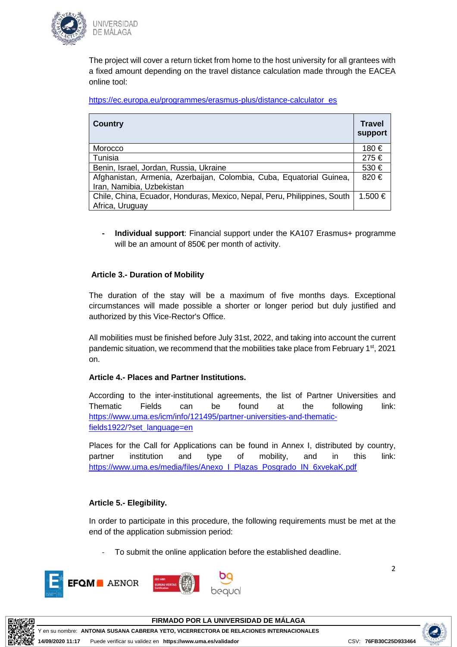

The project will cover a return ticket from home to the host university for all grantees with a fixed amount depending on the travel distance calculation made through the EACEA online tool:

https://ec.europa.eu/programmes/erasmus-plus/distance-calculator\_es

| <b>Country</b>                                                           | <b>Travel</b><br>support |
|--------------------------------------------------------------------------|--------------------------|
| Morocco                                                                  | 180 €                    |
| Tunisia                                                                  | 275€                     |
| Benin, Israel, Jordan, Russia, Ukraine                                   | 530€                     |
| Afghanistan, Armenia, Azerbaijan, Colombia, Cuba, Equatorial Guinea,     | 820€                     |
| Iran, Namibia, Uzbekistan                                                |                          |
| Chile, China, Ecuador, Honduras, Mexico, Nepal, Peru, Philippines, South | 1.500 €                  |
| Africa, Uruguay                                                          |                          |

**- Individual support**: Financial support under the KA107 Erasmus+ programme will be an amount of 850€ per month of activity.

### **Article 3.- Duration of Mobility**

The duration of the stay will be a maximum of five months days. Exceptional circumstances will made possible a shorter or longer period but duly justified and authorized by this Vice-Rector's Office.

All mobilities must be finished before July 31st, 2022, and taking into account the current pandemic situation, we recommend that the mobilities take place from February 1<sup>st</sup>, 2021 on.

#### **Article 4.- Places and Partner Institutions.**

According to the inter-institutional agreements, the list of Partner Universities and Thematic Fields can be found at the following link: https://www.uma.es/icm/info/121495/partner-universities-and-thematicfields1922/?set\_language=en

Places for the Call for Applications can be found in Annex I, distributed by country, partner institution and type of mobility, and in this link: https://www.uma.es/media/files/Anexo\_I\_Plazas\_Posgrado\_IN\_6xvekaK.pdf

# **Article 5.- Elegibility.**

In order to participate in this procedure, the following requirements must be met at the end of the application submission period:

To submit the online application before the established deadline.







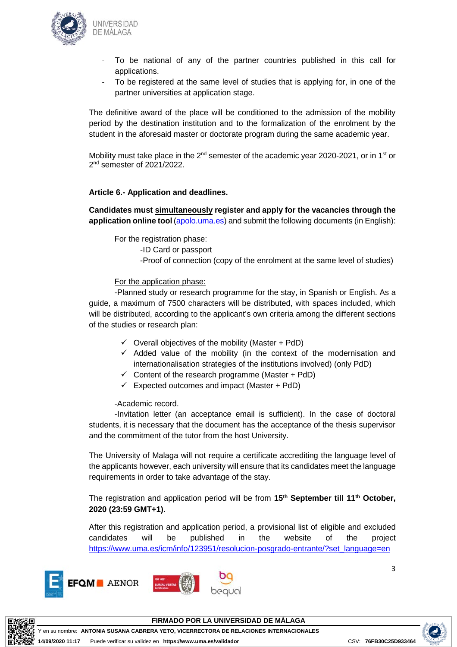

- To be national of any of the partner countries published in this call for applications.
- To be registered at the same level of studies that is applying for, in one of the partner universities at application stage.

The definitive award of the place will be conditioned to the admission of the mobility period by the destination institution and to the formalization of the enrolment by the student in the aforesaid master or doctorate program during the same academic year.

Mobility must take place in the  $2^{nd}$  semester of the academic year 2020-2021, or in 1<sup>st</sup> or 2<sup>nd</sup> semester of 2021/2022.

### **Article 6.- Application and deadlines.**

**Candidates must simultaneously register and apply for the vacancies through the application online tool** (apolo.uma.es) and submit the following documents (in English):

#### For the registration phase:

-ID Card or passport -Proof of connection (copy of the enrolment at the same level of studies)

#### For the application phase:

-Planned study or research programme for the stay, in Spanish or English. As a guide, a maximum of 7500 characters will be distributed, with spaces included, which will be distributed, according to the applicant's own criteria among the different sections of the studies or research plan:

- $\checkmark$  Overall objectives of the mobility (Master + PdD)
- $\checkmark$  Added value of the mobility (in the context of the modernisation and internationalisation strategies of the institutions involved) (only PdD)
- $\checkmark$  Content of the research programme (Master + PdD)
- $\checkmark$  Expected outcomes and impact (Master + PdD)

-Academic record.

-Invitation letter (an acceptance email is sufficient). In the case of doctoral students, it is necessary that the document has the acceptance of the thesis supervisor and the commitment of the tutor from the host University.

The University of Malaga will not require a certificate accrediting the language level of the applicants however, each university will ensure that its candidates meet the language requirements in order to take advantage of the stay.

The registration and application period will be from **15th September till 11th October, 2020 (23:59 GMT+1).**

After this registration and application period, a provisional list of eligible and excluded candidates will be published in the website of the project https://www.uma.es/icm/info/123951/resolucion-posgrado-entrante/?set\_language=en







3



**FIRMADO POR LA UNIVERSIDAD DE MÁLAGA**

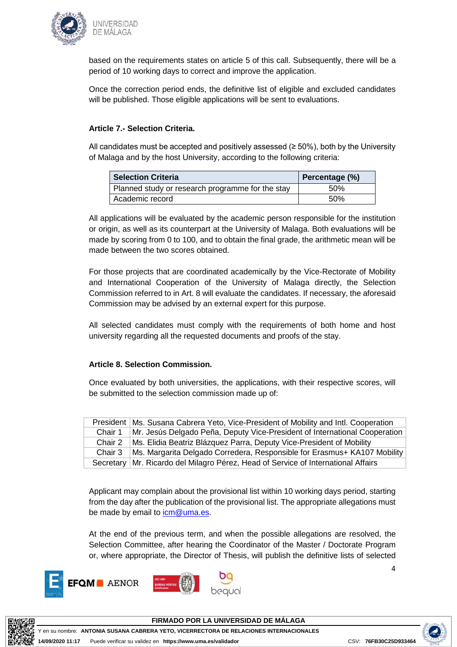

based on the requirements states on article 5 of this call. Subsequently, there will be a period of 10 working days to correct and improve the application.

Once the correction period ends, the definitive list of eligible and excluded candidates will be published. Those eligible applications will be sent to evaluations.

## **Article 7.- Selection Criteria.**

All candidates must be accepted and positively assessed ( $\geq$  50%), both by the University of Malaga and by the host University, according to the following criteria:

| <b>Selection Criteria</b>                        | Percentage (%) |
|--------------------------------------------------|----------------|
| Planned study or research programme for the stay | .50%           |
| Academic record                                  | .50%           |

All applications will be evaluated by the academic person responsible for the institution or origin, as well as its counterpart at the University of Malaga. Both evaluations will be made by scoring from 0 to 100, and to obtain the final grade, the arithmetic mean will be made between the two scores obtained.

For those projects that are coordinated academically by the Vice-Rectorate of Mobility and International Cooperation of the University of Malaga directly, the Selection Commission referred to in Art. 8 will evaluate the candidates. If necessary, the aforesaid Commission may be advised by an external expert for this purpose.

All selected candidates must comply with the requirements of both home and host university regarding all the requested documents and proofs of the stay.

#### **Article 8. Selection Commission.**

Once evaluated by both universities, the applications, with their respective scores, will be submitted to the selection commission made up of:

| President | Ms. Susana Cabrera Yeto, Vice-President of Mobility and Intl. Cooperation           |
|-----------|-------------------------------------------------------------------------------------|
| Chair 1   | Mr. Jesús Delgado Peña, Deputy Vice-President of International Cooperation          |
| Chair 2   | Ms. Elidia Beatriz Blázquez Parra, Deputy Vice-President of Mobility                |
| Chair 3   | Ms. Margarita Delgado Corredera, Responsible for Erasmus+ KA107 Mobility            |
|           | Secretary   Mr. Ricardo del Milagro Pérez, Head of Service of International Affairs |

Applicant may complain about the provisional list within 10 working days period, starting from the day after the publication of the provisional list. The appropriate allegations must be made by email to icm@uma.es.

At the end of the previous term, and when the possible allegations are resolved, the Selection Committee, after hearing the Coordinator of the Master / Doctorate Program or, where appropriate, the Director of Thesis, will publish the definitive lists of selected









**FIRMADO POR LA UNIVERSIDAD DE MÁLAGA**

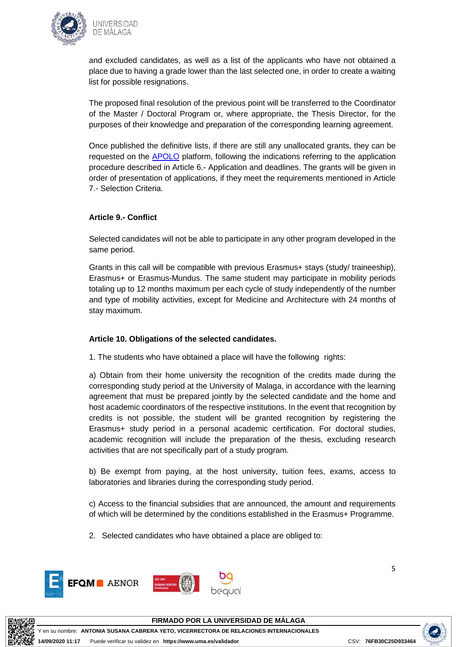

and excluded candidates, as well as a list of the applicants who have not obtained a place due to having a grade lower than the last selected one, in order to create a waiting list for possible resignations.

The proposed final resolution of the previous point will be transferred to the Coordinator of the Master / Doctoral Program or, where appropriate, the Thesis Director, for the purposes of their knowledge and preparation of the corresponding learning agreement.

Once published the definitive lists, if there are still any unallocated grants, they can be requested on the APOLO platform, following the indications referring to the application procedure described in Article 6.- Application and deadlines. The grants will be given in order of presentation of applications, if they meet the requirements mentioned in Article 7.- Selection Criteria.

# **Article 9.- Conflict**

Selected candidates will not be able to participate in any other program developed in the same period.

Grants in this call will be compatible with previous Erasmus+ stays (study/ traineeship), Erasmus+ or Erasmus-Mundus. The same student may participate in mobility periods totaling up to 12 months maximum per each cycle of study independently of the number and type of mobility activities, except for Medicine and Architecture with 24 months of stay maximum.

# **Article 10. Obligations of the selected candidates.**

1. The students who have obtained a place will have the following rights:

a) Obtain from their home university the recognition of the credits made during the corresponding study period at the University of Malaga, in accordance with the learning agreement that must be prepared jointly by the selected candidate and the home and host academic coordinators of the respective institutions. In the event that recognition by credits is not possible, the student will be granted recognition by registering the Erasmus+ study period in a personal academic certification. For doctoral studies, academic recognition will include the preparation of the thesis, excluding research activities that are not specifically part of a study program.

b) Be exempt from paying, at the host university, tuition fees, exams, access to laboratories and libraries during the corresponding study period.

c) Access to the financial subsidies that are announced, the amount and requirements of which will be determined by the conditions established in the Erasmus+ Programme.

2. Selected candidates who have obtained a place are obliged to:





**FIRMADO POR LA UNIVERSIDAD DE MÁLAGA**

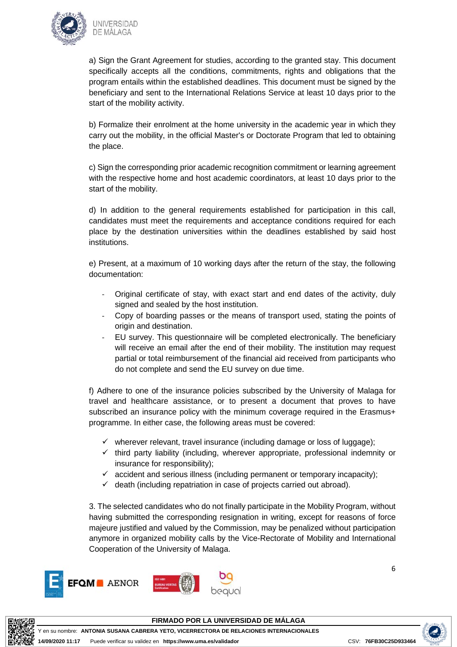

a) Sign the Grant Agreement for studies, according to the granted stay. This document specifically accepts all the conditions, commitments, rights and obligations that the program entails within the established deadlines. This document must be signed by the beneficiary and sent to the International Relations Service at least 10 days prior to the start of the mobility activity.

b) Formalize their enrolment at the home university in the academic year in which they carry out the mobility, in the official Master's or Doctorate Program that led to obtaining the place.

c) Sign the corresponding prior academic recognition commitment or learning agreement with the respective home and host academic coordinators, at least 10 days prior to the start of the mobility.

d) In addition to the general requirements established for participation in this call, candidates must meet the requirements and acceptance conditions required for each place by the destination universities within the deadlines established by said host institutions.

e) Present, at a maximum of 10 working days after the return of the stay, the following documentation:

- Original certificate of stay, with exact start and end dates of the activity, duly signed and sealed by the host institution.
- Copy of boarding passes or the means of transport used, stating the points of origin and destination.
- EU survey. This questionnaire will be completed electronically. The beneficiary will receive an email after the end of their mobility. The institution may request partial or total reimbursement of the financial aid received from participants who do not complete and send the EU survey on due time.

f) Adhere to one of the insurance policies subscribed by the University of Malaga for travel and healthcare assistance, or to present a document that proves to have subscribed an insurance policy with the minimum coverage required in the Erasmus+ programme. In either case, the following areas must be covered:

- $\checkmark$  wherever relevant, travel insurance (including damage or loss of luggage);
- $\checkmark$  third party liability (including, wherever appropriate, professional indemnity or insurance for responsibility);
- $\checkmark$  accident and serious illness (including permanent or temporary incapacity);
- $\checkmark$  death (including repatriation in case of projects carried out abroad).

3. The selected candidates who do not finally participate in the Mobility Program, without having submitted the corresponding resignation in writing, except for reasons of force majeure justified and valued by the Commission, may be penalized without participation anymore in organized mobility calls by the Vice-Rectorate of Mobility and International Cooperation of the University of Malaga.



6



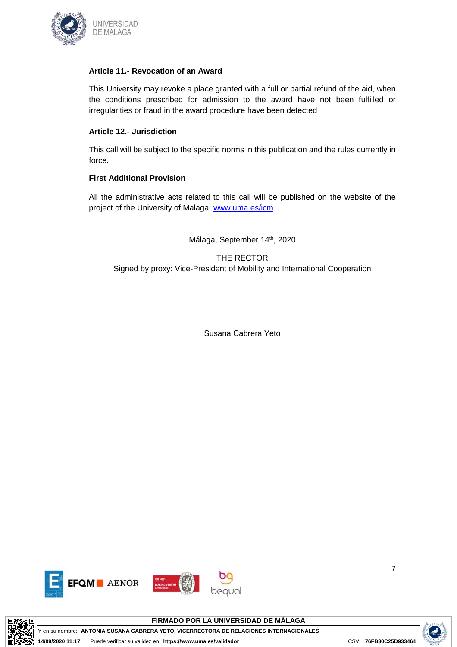

### **Article 11.- Revocation of an Award**

This University may revoke a place granted with a full or partial refund of the aid, when the conditions prescribed for admission to the award have not been fulfilled or irregularities or fraud in the award procedure have been detected

## **Article 12.- Jurisdiction**

This call will be subject to the specific norms in this publication and the rules currently in force.

# **First Additional Provision**

All the administrative acts related to this call will be published on the website of the project of the University of Malaga: www.uma.es/icm.

Málaga, September 14<sup>th</sup>, 2020

THE RECTOR Signed by proxy: Vice-President of Mobility and International Cooperation

Susana Cabrera Yeto







Y en su nombre: **ANTONIA SUSANA CABRERA YETO, VICERRECTORA DE RELACIONES INTERNACIONALES**



7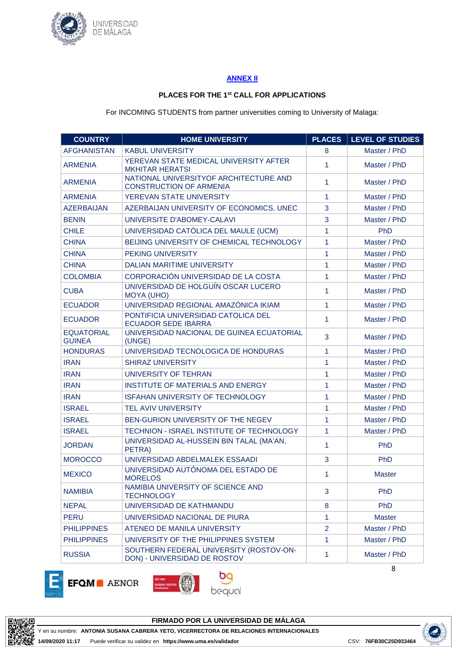

### **ANNEX II**

### **PLACES FOR THE 1st CALL FOR APPLICATIONS**

For INCOMING STUDENTS from partner universities coming to University of Malaga:

| <b>COUNTRY</b>                     | <b>HOME UNIVERSITY</b>                                                   | <b>PLACES</b>  | <b>LEVEL OF STUDIES</b> |
|------------------------------------|--------------------------------------------------------------------------|----------------|-------------------------|
| <b>AFGHANISTAN</b>                 | <b>KABUL UNIVERSITY</b>                                                  | 8              | Master / PhD            |
| <b>ARMENIA</b>                     | YEREVAN STATE MEDICAL UNIVERSITY AFTER<br><b>MKHITAR HERATSI</b>         | 1              | Master / PhD            |
| <b>ARMENIA</b>                     | NATIONAL UNIVERSITYOF ARCHITECTURE AND<br><b>CONSTRUCTION OF ARMENIA</b> | 1              | Master / PhD            |
| <b>ARMENIA</b>                     | YEREVAN STATE UNIVERSITY                                                 | 1              | Master / PhD            |
| <b>AZERBAIJAN</b>                  | AZERBAIJAN UNIVERSITY OF ECONOMICS, UNEC                                 | 3              | Master / PhD            |
| <b>BENIN</b>                       | UNIVERSITE D'ABOMEY-CALAVI                                               | 3              | Master / PhD            |
| <b>CHILE</b>                       | UNIVERSIDAD CATÓLICA DEL MAULE (UCM)                                     | 1              | PhD                     |
| <b>CHINA</b>                       | BEIJING UNIVERSITY OF CHEMICAL TECHNOLOGY                                | 1              | Master / PhD            |
| <b>CHINA</b>                       | PEKING UNIVERSITY                                                        | 1              | Master / PhD            |
| <b>CHINA</b>                       | <b>DALIAN MARITIME UNIVERSITY</b>                                        | 1              | Master / PhD            |
| <b>COLOMBIA</b>                    | CORPORACIÓN UNIVERSIDAD DE LA COSTA                                      | 1              | Master / PhD            |
| <b>CUBA</b>                        | UNIVERSIDAD DE HOLGUÍN OSCAR LUCERO<br><b>MOYA (UHO)</b>                 | 1              | Master / PhD            |
| <b>ECUADOR</b>                     | UNIVERSIDAD REGIONAL AMAZÓNICA IKIAM                                     | 1              | Master / PhD            |
| <b>ECUADOR</b>                     | PONTIFICIA UNIVERSIDAD CATOLICA DEL<br><b>ECUADOR SEDE IBARRA</b>        | 1              | Master / PhD            |
| <b>EQUATORIAL</b><br><b>GUINEA</b> | UNIVERSIDAD NACIONAL DE GUINEA ECUATORIAL<br>(UNGE)                      | 3              | Master / PhD            |
| <b>HONDURAS</b>                    | UNIVERSIDAD TECNOLOGICA DE HONDURAS                                      | 1              | Master / PhD            |
| <b>IRAN</b>                        | <b>SHIRAZ UNIVERSITY</b>                                                 | 1              | Master / PhD            |
| <b>IRAN</b>                        | UNIVERSITY OF TEHRAN                                                     | 1              | Master / PhD            |
| <b>IRAN</b>                        | INSTITUTE OF MATERIALS AND ENERGY                                        | 1              | Master / PhD            |
| <b>IRAN</b>                        | ISFAHAN UNIVERSITY OF TECHNOLOGY                                         | 1              | Master / PhD            |
| <b>ISRAEL</b>                      | <b>TEL AVIV UNIVERSITY</b>                                               | 1              | Master / PhD            |
| <b>ISRAEL</b>                      | BEN-GURION UNIVERSITY OF THE NEGEV                                       | 1              | Master / PhD            |
| <b>ISRAEL</b>                      | TECHNION - ISRAEL INSTITUTE OF TECHNOLOGY                                | 1              | Master / PhD            |
| <b>JORDAN</b>                      | UNIVERSIDAD AL-HUSSEIN BIN TALAL (MA'AN,<br>PETRA)                       | $\mathbf{1}$   | PhD                     |
| <b>MOROCCO</b>                     | UNIVERSIDAD ABDELMALEK ESSAADI                                           | 3              | PhD                     |
| <b>MEXICO</b>                      | UNIVERSIDAD AUTÓNOMA DEL ESTADO DE<br><b>MORELOS</b>                     | 1              | <b>Master</b>           |
| <b>NAMIBIA</b>                     | NAMIBIA UNIVERSITY OF SCIENCE AND<br><b>TECHNOLOGY</b>                   | 3              | PhD                     |
| <b>NEPAL</b>                       | UNIVERSIDAD DE KATHMANDU                                                 | 8              | PhD                     |
| <b>PERU</b>                        | UNIVERSIDAD NACIONAL DE PIURA                                            | 1              | <b>Master</b>           |
| <b>PHILIPPINES</b>                 | ATENEO DE MANILA UNIVERSITY                                              | $\overline{2}$ | Master / PhD            |
| <b>PHILIPPINES</b>                 | UNIVERSITY OF THE PHILIPPINES SYSTEM                                     | 1              | Master / PhD            |
| <b>RUSSIA</b>                      | SOUTHERN FEDERAL UNIVERSITY (ROSTOV-ON-<br>DON) - UNIVERSIDAD DE ROSTOV  | $\mathbf{1}$   | Master / PhD            |









8



**FIRMADO POR LA UNIVERSIDAD DE MÁLAGA**